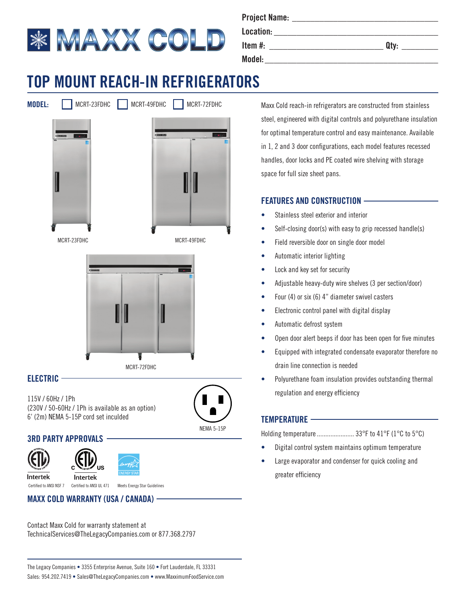

| <b>Project Name:</b> |      |
|----------------------|------|
| Location:            |      |
| Item $#$ :           | Qtv: |
| Model:               |      |

# **TOP MOUNT REACH-IN REFRIGERATORS**





#### **ELECTRIC**

115V / 60Hz / 1Ph (230V / 50-60Hz / 1Ph is available as an option) 6' (2m) NEMA 5-15P cord set inculded



## **3RD PARTY APPROVALS**





Intertek

Intertek Certified to ANSI NSF 7 Certified to ANSI UL 471 Meets Energy Star Guidelines

#### **MAXX COLD WARRANTY (USA / CANADA)**

Contact Maxx Cold for warranty statement at TechnicalServices@TheLegacyCompanies.com or 877.368.2797 Maxx Cold reach-in refrigerators are constructed from stainless steel, engineered with digital controls and polyurethane insulation for optimal temperature control and easy maintenance. Available in 1, 2 and 3 door configurations, each model features recessed handles, door locks and PE coated wire shelving with storage space for full size sheet pans.

## **FEATURES AND CONSTRUCTION**

- Stainless steel exterior and interior
- Self-closing door(s) with easy to grip recessed handle(s)
- Field reversible door on single door model
- Automatic interior lighting
- Lock and key set for security
- Adjustable heavy-duty wire shelves (3 per section/door)
- Four (4) or six (6) 4" diameter swivel casters
- Electronic control panel with digital display
- Automatic defrost system
- Open door alert beeps if door has been open for five minutes
- Equipped with integrated condensate evaporator therefore no drain line connection is needed
- Polyurethane foam insulation provides outstanding thermal regulation and energy efficiency

#### **TEMPERATURE**

Holding temperature.......................... 33°F to 41°F (1°C to 5°C)

- Digital control system maintains optimum temperature
- Large evaporator and condenser for quick cooling and greater efficiency

The Legacy Companies • 3355 Enterprise Avenue, Suite 160 • Fort Lauderdale, FL 33331 Sales: 954.202.7419 • Sales@TheLegacyCompanies.com • www.MaxximumFoodService.com